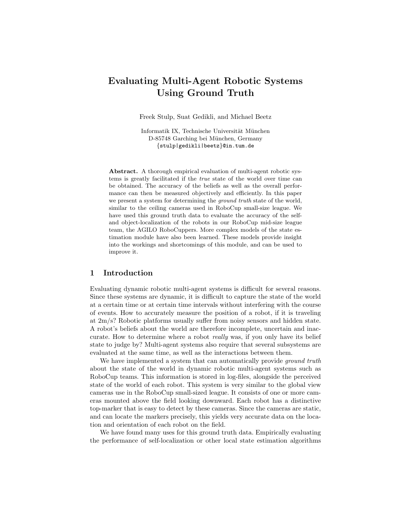# Evaluating Multi-Agent Robotic Systems Using Ground Truth

Freek Stulp, Suat Gedikli, and Michael Beetz

Informatik IX, Technische Universität München D-85748 Garching bei München, Germany {stulp|gedikli|beetz}@in.tum.de

Abstract. A thorough empirical evaluation of multi-agent robotic systems is greatly facilitated if the true state of the world over time can be obtained. The accuracy of the beliefs as well as the overall performance can then be measured objectively and efficiently. In this paper we present a system for determining the ground truth state of the world, similar to the ceiling cameras used in RoboCup small-size league. We have used this ground truth data to evaluate the accuracy of the selfand object-localization of the robots in our RoboCup mid-size league team, the AGILO RoboCuppers. More complex models of the state estimation module have also been learned. These models provide insight into the workings and shortcomings of this module, and can be used to improve it.

### 1 Introduction

Evaluating dynamic robotic multi-agent systems is difficult for several reasons. Since these systems are dynamic, it is difficult to capture the state of the world at a certain time or at certain time intervals without interfering with the course of events. How to accurately measure the position of a robot, if it is traveling at 2m/s? Robotic platforms usually suffer from noisy sensors and hidden state. A robot's beliefs about the world are therefore incomplete, uncertain and inaccurate. How to determine where a robot *really* was, if you only have its belief state to judge by? Multi-agent systems also require that several subsystems are evaluated at the same time, as well as the interactions between them.

We have implemented a system that can automatically provide *ground truth* about the state of the world in dynamic robotic multi-agent systems such as RoboCup teams. This information is stored in log-files, alongside the perceived state of the world of each robot. This system is very similar to the global view cameras use in the RoboCup small-sized league. It consists of one or more cameras mounted above the field looking downward. Each robot has a distinctive top-marker that is easy to detect by these cameras. Since the cameras are static, and can locate the markers precisely, this yields very accurate data on the location and orientation of each robot on the field.

We have found many uses for this ground truth data. Empirically evaluating the performance of self-localization or other local state estimation algorithms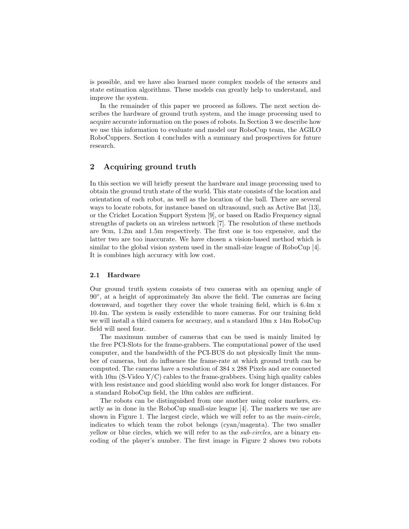is possible, and we have also learned more complex models of the sensors and state estimation algorithms. These models can greatly help to understand, and improve the system.

In the remainder of this paper we proceed as follows. The next section describes the hardware of ground truth system, and the image processing used to acquire accurate information on the poses of robots. In Section 3 we describe how we use this information to evaluate and model our RoboCup team, the AGILO RoboCuppers. Section 4 concludes with a summary and prospectives for future research.

# 2 Acquiring ground truth

In this section we will briefly present the hardware and image processing used to obtain the ground truth state of the world. This state consists of the location and orientation of each robot, as well as the location of the ball. There are several ways to locate robots, for instance based on ultrasound, such as Active Bat [13], or the Cricket Location Support System [9], or based on Radio Frequency signal strengths of packets on an wireless network [7]. The resolution of these methods are 9cm, 1.2m and 1.5m respectively. The first one is too expensive, and the latter two are too inaccurate. We have chosen a vision-based method which is similar to the global vision system used in the small-size league of RoboCup [4]. It is combines high accuracy with low cost.

# 2.1 Hardware

Our ground truth system consists of two cameras with an opening angle of 90◦ , at a height of approximately 3m above the field. The cameras are facing downward, and together they cover the whole training field, which is 6.4m x 10.4m. The system is easily extendible to more cameras. For our training field we will install a third camera for accuracy, and a standard 10m x 14m RoboCup field will need four.

The maximum number of cameras that can be used is mainly limited by the free PCI-Slots for the frame-grabbers. The computational power of the used computer, and the bandwidth of the PCI-BUS do not physically limit the number of cameras, but do influence the frame-rate at which ground truth can be computed. The cameras have a resolution of 384 x 288 Pixels and are connected with  $10m$  (S-Video Y/C) cables to the frame-grabbers. Using high quality cables with less resistance and good shielding would also work for longer distances. For a standard RoboCup field, the 10m cables are sufficient.

The robots can be distinguished from one another using color markers, exactly as in done in the RoboCup small-size league [4]. The markers we use are shown in Figure 1. The largest circle, which we will refer to as the main-circle, indicates to which team the robot belongs (cyan/magenta). The two smaller yellow or blue circles, which we will refer to as the sub-circles, are a binary encoding of the player's number. The first image in Figure 2 shows two robots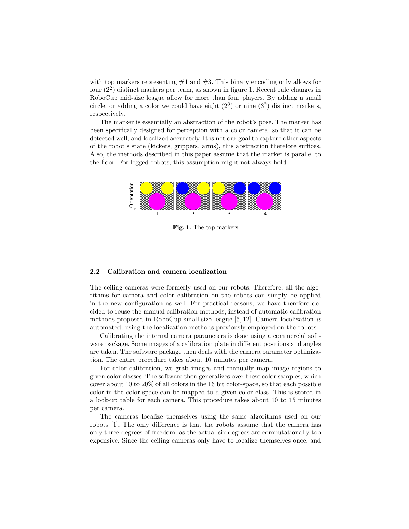with top markers representing  $#1$  and  $#3$ . This binary encoding only allows for four (2<sup>2</sup> ) distinct markers per team, as shown in figure 1. Recent rule changes in RoboCup mid-size league allow for more than four players. By adding a small circle, or adding a color we could have eight  $(2^3)$  or nine  $(3^2)$  distinct markers, respectively.

The marker is essentially an abstraction of the robot's pose. The marker has been specifically designed for perception with a color camera, so that it can be detected well, and localized accurately. It is not our goal to capture other aspects of the robot's state (kickers, grippers, arms), this abstraction therefore suffices. Also, the methods described in this paper assume that the marker is parallel to the floor. For legged robots, this assumption might not always hold.



Fig. 1. The top markers

### 2.2 Calibration and camera localization

The ceiling cameras were formerly used on our robots. Therefore, all the algorithms for camera and color calibration on the robots can simply be applied in the new configuration as well. For practical reasons, we have therefore decided to reuse the manual calibration methods, instead of automatic calibration methods proposed in RoboCup small-size league [5, 12]. Camera localization is automated, using the localization methods previously employed on the robots.

Calibrating the internal camera parameters is done using a commercial software package. Some images of a calibration plate in different positions and angles are taken. The software package then deals with the camera parameter optimization. The entire procedure takes about 10 minutes per camera.

For color calibration, we grab images and manually map image regions to given color classes. The software then generalizes over these color samples, which cover about 10 to 20% of all colors in the 16 bit color-space, so that each possible color in the color-space can be mapped to a given color class. This is stored in a look-up table for each camera. This procedure takes about 10 to 15 minutes per camera.

The cameras localize themselves using the same algorithms used on our robots [1]. The only difference is that the robots assume that the camera has only three degrees of freedom, as the actual six degrees are computationally too expensive. Since the ceiling cameras only have to localize themselves once, and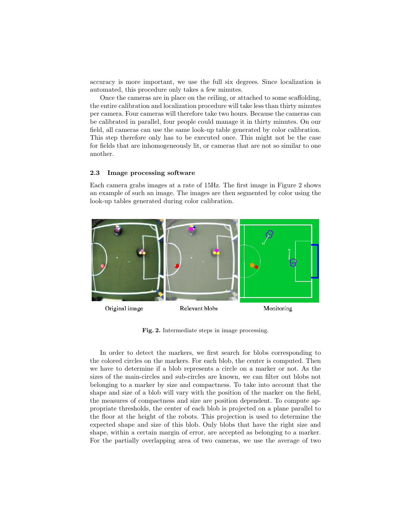accuracy is more important, we use the full six degrees. Since localization is automated, this procedure only takes a few minutes.

Once the cameras are in place on the ceiling, or attached to some scaffolding, the entire calibration and localization procedure will take less than thirty minutes per camera. Four cameras will therefore take two hours. Because the cameras can be calibrated in parallel, four people could manage it in thirty minutes. On our field, all cameras can use the same look-up table generated by color calibration. This step therefore only has to be executed once. This might not be the case for fields that are inhomogeneously lit, or cameras that are not so similar to one another.

### 2.3 Image processing software

Each camera grabs images at a rate of 15Hz. The first image in Figure 2 shows an example of such an image. The images are then segmented by color using the look-up tables generated during color calibration.



Fig. 2. Intermediate steps in image processing.

In order to detect the markers, we first search for blobs corresponding to the colored circles on the markers. For each blob, the center is computed. Then we have to determine if a blob represents a circle on a marker or not. As the sizes of the main-circles and sub-circles are known, we can filter out blobs not belonging to a marker by size and compactness. To take into account that the shape and size of a blob will vary with the position of the marker on the field, the measures of compactness and size are position dependent. To compute appropriate thresholds, the center of each blob is projected on a plane parallel to the floor at the height of the robots. This projection is used to determine the expected shape and size of this blob. Only blobs that have the right size and shape, within a certain margin of error, are accepted as belonging to a marker. For the partially overlapping area of two cameras, we use the average of two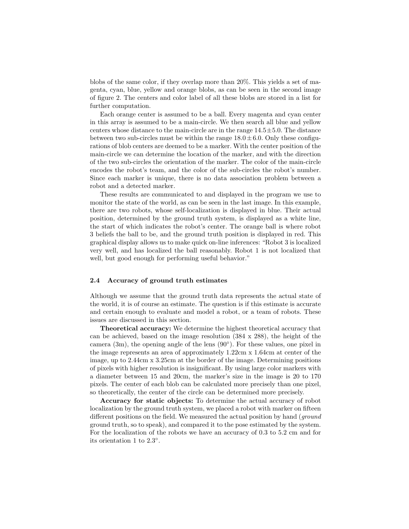blobs of the same color, if they overlap more than 20%. This yields a set of magenta, cyan, blue, yellow and orange blobs, as can be seen in the second image of figure 2. The centers and color label of all these blobs are stored in a list for further computation.

Each orange center is assumed to be a ball. Every magenta and cyan center in this array is assumed to be a main-circle. We then search all blue and yellow centers whose distance to the main-circle are in the range  $14.5 \pm 5.0$ . The distance between two sub-circles must be within the range  $18.0 \pm 6.0$ . Only these configurations of blob centers are deemed to be a marker. With the center position of the main-circle we can determine the location of the marker, and with the direction of the two sub-circles the orientation of the marker. The color of the main-circle encodes the robot's team, and the color of the sub-circles the robot's number. Since each marker is unique, there is no data association problem between a robot and a detected marker.

These results are communicated to and displayed in the program we use to monitor the state of the world, as can be seen in the last image. In this example, there are two robots, whose self-localization is displayed in blue. Their actual position, determined by the ground truth system, is displayed as a white line, the start of which indicates the robot's center. The orange ball is where robot 3 beliefs the ball to be, and the ground truth position is displayed in red. This graphical display allows us to make quick on-line inferences: "Robot 3 is localized very well, and has localized the ball reasonably. Robot 1 is not localized that well, but good enough for performing useful behavior."

### 2.4 Accuracy of ground truth estimates

Although we assume that the ground truth data represents the actual state of the world, it is of course an estimate. The question is if this estimate is accurate and certain enough to evaluate and model a robot, or a team of robots. These issues are discussed in this section.

Theoretical accuracy: We determine the highest theoretical accuracy that can be achieved, based on the image resolution (384 x 288), the height of the camera (3m), the opening angle of the lens (90◦ ). For these values, one pixel in the image represents an area of approximately 1.22cm x 1.64cm at center of the image, up to 2.44cm x 3.25cm at the border of the image. Determining positions of pixels with higher resolution is insignificant. By using large color markers with a diameter between 15 and 20cm, the marker's size in the image is 20 to 170 pixels. The center of each blob can be calculated more precisely than one pixel, so theoretically, the center of the circle can be determined more precisely.

Accuracy for static objects: To determine the actual accuracy of robot localization by the ground truth system, we placed a robot with marker on fifteen different positions on the field. We measured the actual position by hand (*ground* ground truth, so to speak), and compared it to the pose estimated by the system. For the localization of the robots we have an accuracy of 0.3 to 5.2 cm and for its orientation 1 to 2.3◦ .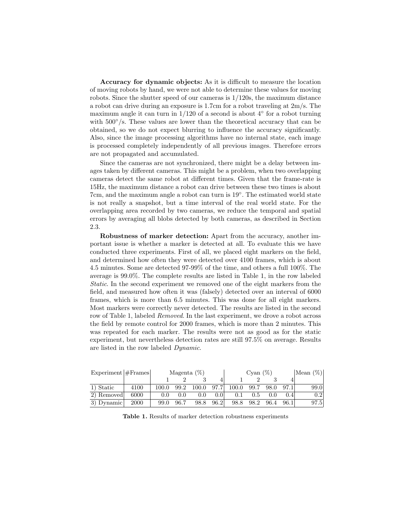Accuracy for dynamic objects: As it is difficult to measure the location of moving robots by hand, we were not able to determine these values for moving robots. Since the shutter speed of our cameras is  $1/120s$ , the maximum distance a robot can drive during an exposure is 1.7cm for a robot traveling at 2m/s. The maximum angle it can turn in  $1/120$  of a second is about  $4^{\circ}$  for a robot turning with  $500°/s$ . These values are lower than the theoretical accuracy that can be obtained, so we do not expect blurring to influence the accuracy significantly. Also, since the image processing algorithms have no internal state, each image is processed completely independently of all previous images. Therefore errors are not propagated and accumulated.

Since the cameras are not synchronized, there might be a delay between images taken by different cameras. This might be a problem, when two overlapping cameras detect the same robot at different times. Given that the frame-rate is 15Hz, the maximum distance a robot can drive between these two times is about 7cm, and the maximum angle a robot can turn is 19<sup>°</sup>. The estimated world state is not really a snapshot, but a time interval of the real world state. For the overlapping area recorded by two cameras, we reduce the temporal and spatial errors by averaging all blobs detected by both cameras, as described in Section 2.3.

Robustness of marker detection: Apart from the accuracy, another important issue is whether a marker is detected at all. To evaluate this we have conducted three experiments. First of all, we placed eight markers on the field, and determined how often they were detected over 4100 frames, which is about 4.5 minutes. Some are detected 97-99% of the time, and others a full 100%. The average is 99.0%. The complete results are listed in Table 1, in the row labeled Static. In the second experiment we removed one of the eight markers from the field, and measured how often it was (falsely) detected over an interval of 6000 frames, which is more than 6.5 minutes. This was done for all eight markers. Most markers were correctly never detected. The results are listed in the second row of Table 1, labeled Removed. In the last experiment, we drove a robot across the field by remote control for 2000 frames, which is more than 2 minutes. This was repeated for each marker. The results were not as good as for the static experiment, but nevertheless detection rates are still 97.5% on average. Results are listed in the row labeled Dynamic.

| $Experiment$   $#$ Frames |      | Magenta $(\%)$ |      |       | Cyan $(\%)$ |       |      |       | Mean $(\%)$ |                  |
|---------------------------|------|----------------|------|-------|-------------|-------|------|-------|-------------|------------------|
|                           |      |                |      |       |             |       |      |       |             |                  |
| 1) Static                 | 4100 | 100.0          | 99.2 | 100.0 | 97.7        | 100.0 | 99.7 | 98.0  | 97.1        | 99.0             |
| 2) Removed                | 6000 | 0.0            | 0.0  | 0.0   | 0.01        |       | 0.5  | (0.0) | 0.4         | 0.2 <sub>1</sub> |
| 3) Dynamic                | 2000 | 99.0           | 96.7 | 98.8  | 96.2        | 98.8  | 98.2 | 96.4  | 96.1        | 97.5             |

Table 1. Results of marker detection robustness experiments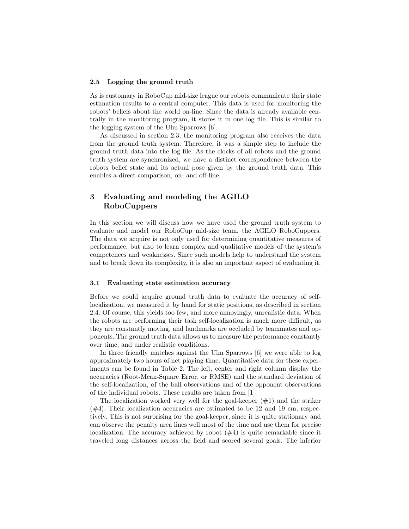#### 2.5 Logging the ground truth

As is customary in RoboCup mid-size league our robots communicate their state estimation results to a central computer. This data is used for monitoring the robots' beliefs about the world on-line. Since the data is already available centrally in the monitoring program, it stores it in one log file. This is similar to the logging system of the Ulm Sparrows [6].

As discussed in section 2.3, the monitoring program also receives the data from the ground truth system. Therefore, it was a simple step to include the ground truth data into the log file. As the clocks of all robots and the ground truth system are synchronized, we have a distinct correspondence between the robots belief state and its actual pose given by the ground truth data. This enables a direct comparison, on- and off-line.

# 3 Evaluating and modeling the AGILO RoboCuppers

In this section we will discuss how we have used the ground truth system to evaluate and model our RoboCup mid-size team, the AGILO RoboCuppers. The data we acquire is not only used for determining quantitative measures of performance, but also to learn complex and qualitative models of the system's competences and weaknesses. Since such models help to understand the system and to break down its complexity, it is also an important aspect of evaluating it.

# 3.1 Evaluating state estimation accuracy

Before we could acquire ground truth data to evaluate the accuracy of selflocalization, we measured it by hand for static positions, as described in section 2.4. Of course, this yields too few, and more annoyingly, unrealistic data. When the robots are performing their task self-localization is much more difficult, as they are constantly moving, and landmarks are occluded by teammates and opponents. The ground truth data allows us to measure the performance constantly over time, and under realistic conditions.

In three friendly matches against the Ulm Sparrows [6] we were able to log approximately two hours of net playing time. Quantitative data for these experiments can be found in Table 2. The left, center and right column display the accuracies (Root-Mean-Square Error, or RMSE) and the standard deviation of the self-localization, of the ball observations and of the opponent observations of the individual robots. These results are taken from [1].

The localization worked very well for the goal-keeper  $(\#1)$  and the striker  $(\#4)$ . Their localization accuracies are estimated to be 12 and 19 cm, respectively. This is not surprising for the goal-keeper, since it is quite stationary and can observe the penalty area lines well most of the time and use them for precise localization. The accuracy achieved by robot  $(\#4)$  is quite remarkable since it traveled long distances across the field and scored several goals. The inferior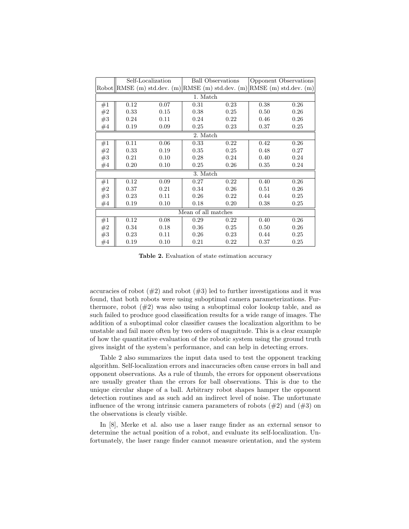|                     |      | Self-Localization                                                                |      | <b>Ball Observations</b> | Opponent Observations |      |  |  |  |  |  |
|---------------------|------|----------------------------------------------------------------------------------|------|--------------------------|-----------------------|------|--|--|--|--|--|
|                     |      | Robot $\ RMSE(m)$ std.dev. $(m)\ RMSE(m)$ std.dev. $(m)\ RMSE(m)$ std.dev. $(m)$ |      |                          |                       |      |  |  |  |  |  |
| 1. Match            |      |                                                                                  |      |                          |                       |      |  |  |  |  |  |
| #1                  | 0.12 | 0.07                                                                             | 0.31 | 0.23                     | 0.38                  | 0.26 |  |  |  |  |  |
| #2                  | 0.33 | 0.15                                                                             | 0.38 | 0.25                     | 0.50                  | 0.26 |  |  |  |  |  |
| #3                  | 0.24 | 0.11                                                                             | 0.24 | 0.22                     | 0.46                  | 0.26 |  |  |  |  |  |
| #4                  | 0.19 | 0.09                                                                             | 0.25 | 0.23                     | 0.37                  | 0.25 |  |  |  |  |  |
| 2. Match            |      |                                                                                  |      |                          |                       |      |  |  |  |  |  |
| #1                  | 0.11 | 0.06                                                                             | 0.33 | 0.22                     | 0.42                  | 0.26 |  |  |  |  |  |
| $\#2$               | 0.33 | 0.19                                                                             | 0.35 | 0.25                     | 0.48                  | 0.27 |  |  |  |  |  |
| #3                  | 0.21 | 0.10                                                                             | 0.28 | 0.24                     | 0.40                  | 0.24 |  |  |  |  |  |
| #4                  | 0.20 | 0.10                                                                             | 0.25 | 0.26                     | 0.35                  | 0.24 |  |  |  |  |  |
| 3. Match            |      |                                                                                  |      |                          |                       |      |  |  |  |  |  |
| #1                  | 0.12 | 0.09                                                                             | 0.27 | 0.22                     | 0.40                  | 0.26 |  |  |  |  |  |
| $\#2$               | 0.37 | 0.21                                                                             | 0.34 | 0.26                     | 0.51                  | 0.26 |  |  |  |  |  |
| #3                  | 0.23 | 0.11                                                                             | 0.26 | 0.22                     | 0.44                  | 0.25 |  |  |  |  |  |
| #4                  | 0.19 | 0.10                                                                             | 0.18 | 0.20                     | 0.38                  | 0.25 |  |  |  |  |  |
| Mean of all matches |      |                                                                                  |      |                          |                       |      |  |  |  |  |  |
| #1                  | 0.12 | 0.08                                                                             | 0.29 | 0.22                     | 0.40                  | 0.26 |  |  |  |  |  |
| $\#2$               | 0.34 | 0.18                                                                             | 0.36 | 0.25                     | 0.50                  | 0.26 |  |  |  |  |  |
| #3                  | 0.23 | 0.11                                                                             | 0.26 | 0.23                     | 0.44                  | 0.25 |  |  |  |  |  |
| #4                  | 0.19 | 0.10                                                                             | 0.21 | 0.22                     | 0.37                  | 0.25 |  |  |  |  |  |

Table 2. Evaluation of state estimation accuracy

accuracies of robot  $(\#2)$  and robot  $(\#3)$  led to further investigations and it was found, that both robots were using suboptimal camera parameterizations. Furthermore, robot  $(\#2)$  was also using a suboptimal color lookup table, and as such failed to produce good classification results for a wide range of images. The addition of a suboptimal color classifier causes the localization algorithm to be unstable and fail more often by two orders of magnitude. This is a clear example of how the quantitative evaluation of the robotic system using the ground truth gives insight of the system's performance, and can help in detecting errors.

Table 2 also summarizes the input data used to test the opponent tracking algorithm. Self-localization errors and inaccuracies often cause errors in ball and opponent observations. As a rule of thumb, the errors for opponent observations are usually greater than the errors for ball observations. This is due to the unique circular shape of a ball. Arbitrary robot shapes hamper the opponent detection routines and as such add an indirect level of noise. The unfortunate influence of the wrong intrinsic camera parameters of robots  $(\#2)$  and  $(\#3)$  on the observations is clearly visible.

In [8], Merke et al. also use a laser range finder as an external sensor to determine the actual position of a robot, and evaluate its self-localization. Unfortunately, the laser range finder cannot measure orientation, and the system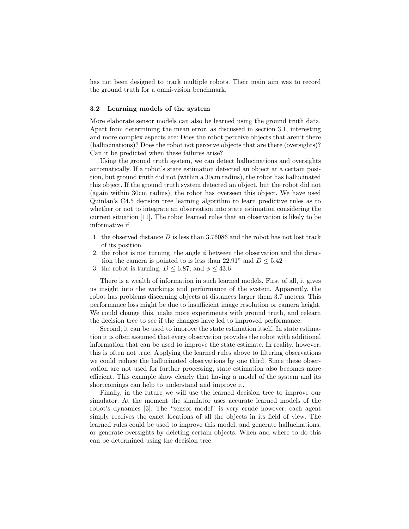has not been designed to track multiple robots. Their main aim was to record the ground truth for a omni-vision benchmark.

### 3.2 Learning models of the system

More elaborate sensor models can also be learned using the ground truth data. Apart from determining the mean error, as discussed in section 3.1, interesting and more complex aspects are: Does the robot perceive objects that aren't there (hallucinations)? Does the robot not perceive objects that are there (oversights)? Can it be predicted when these failures arise?

Using the ground truth system, we can detect hallucinations and oversights automatically. If a robot's state estimation detected an object at a certain position, but ground truth did not (within a 30cm radius), the robot has hallucinated this object. If the ground truth system detected an object, but the robot did not (again within 30cm radius), the robot has overseen this object. We have used Quinlan's C4.5 decision tree learning algorithm to learn predictive rules as to whether or not to integrate an observation into state estimation considering the current situation [11]. The robot learned rules that an observation is likely to be informative if

- 1. the observed distance D is less than 3.76086 and the robot has not lost track of its position
- 2. the robot is not turning, the angle  $\phi$  between the observation and the direction the camera is pointed to is less than 22.91° and  $D \leq 5.42$
- 3. the robot is turning,  $D \leq 6.87$ , and  $\phi \leq 43.6$

There is a wealth of information in such learned models. First of all, it gives us insight into the workings and performance of the system. Apparently, the robot has problems discerning objects at distances larger them 3.7 meters. This performance loss might be due to insufficient image resolution or camera height. We could change this, make more experiments with ground truth, and relearn the decision tree to see if the changes have led to improved performance.

Second, it can be used to improve the state estimation itself. In state estimation it is often assumed that every observation provides the robot with additional information that can be used to improve the state estimate. In reality, however, this is often not true. Applying the learned rules above to filtering observations we could reduce the hallucinated observations by one third. Since these observation are not used for further processing, state estimation also becomes more efficient. This example show clearly that having a model of the system and its shortcomings can help to understand and improve it.

Finally, in the future we will use the learned decision tree to improve our simulator. At the moment the simulator uses accurate learned models of the robot's dynamics [3]. The "sensor model" is very crude however: each agent simply receives the exact locations of all the objects in its field of view. The learned rules could be used to improve this model, and generate hallucinations, or generate oversights by deleting certain objects. When and where to do this can be determined using the decision tree.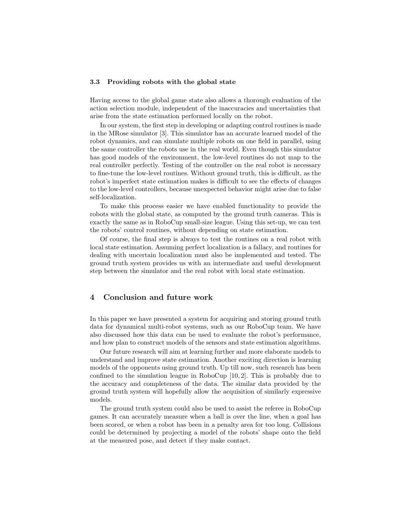### 3.3 Providing robots with the global state

Having access to the global game state also allows a thorough evaluation of the action selection module, independent of the inaccuracies and uncertainties that arise from the state estimation performed locally on the robot.

In our system, the first step in developing or adapting control routines is made in the MRose simulator [3]. This simulator has an accurate learned model of the robot dynamics, and can simulate multiple robots on one field in parallel, using the same controller the robots use in the real world. Even though this simulator has good models of the environment, the low-level routines do not map to the real controller perfectly. Testing of the controller on the real robot is necessary to fine-tune the low-level routines. Without ground truth, this is difficult, as the robot's imperfect state estimation makes is difficult to see the effects of changes to the low-level controllers, because unexpected behavior might arise due to false self-localization.

To make this process easier we have enabled functionality to provide the robots with the global state, as computed by the ground truth cameras. This is exactly the same as in RoboCup small-size league. Using this set-up, we can test the robots' control routines, without depending on state estimation.

Of course, the final step is always to test the routines on a real robot with local state estimation. Assuming perfect localization is a fallacy, and routines for dealing with uncertain localization must also be implemented and tested. The ground truth system provides us with an intermediate and useful development step between the simulator and the real robot with local state estimation.

# 4 Conclusion and future work

In this paper we have presented a system for acquiring and storing ground truth data for dynamical multi-robot systems, such as our RoboCup team. We have also discussed how this data can be used to evaluate the robot's performance, and how plan to construct models of the sensors and state estimation algorithms.

Our future research will aim at learning further and more elaborate models to understand and improve state estimation. Another exciting direction is learning models of the opponents using ground truth. Up till now, such research has been confined to the simulation league in RoboCup [10, 2]. This is probably due to the accuracy and completeness of the data. The similar data provided by the ground truth system will hopefully allow the acquisition of similarly expressive models.

The ground truth system could also be used to assist the referee in RoboCup games. It can accurately measure when a ball is over the line, when a goal has been scored, or when a robot has been in a penalty area for too long. Collisions could be determined by projecting a model of the robots' shape onto the field at the measured pose, and detect if they make contact.